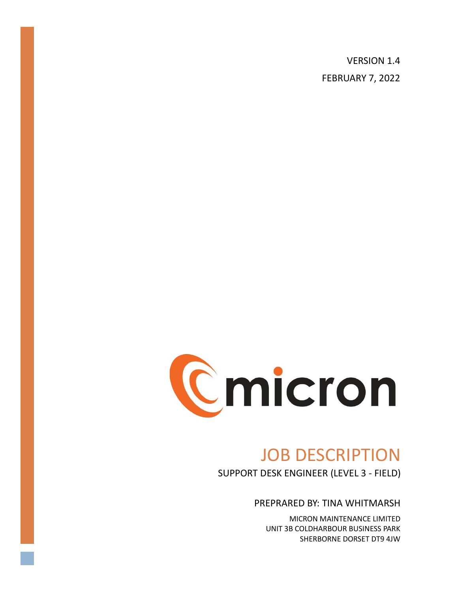VERSION 1.4 FEBRUARY 7, 2022



# JOB DESCRIPTION

SUPPORT DESK ENGINEER (LEVEL 3 - FIELD)

PREPRARED BY: TINA WHITMARSH

MICRON MAINTENANCE LIMITED UNIT 3B COLDHARBOUR BUSINESS PARK SHERBORNE DORSET DT9 4JW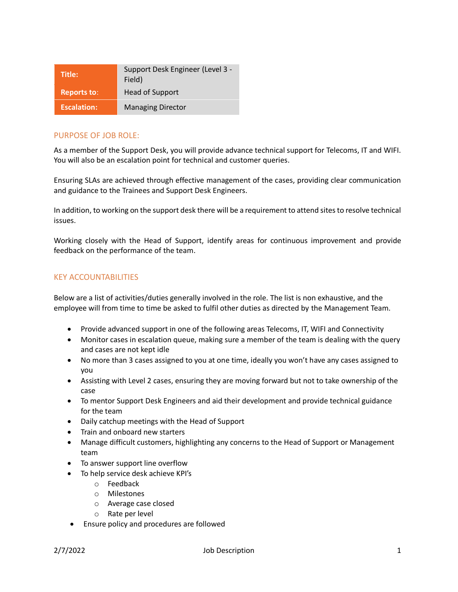| Title:             | Support Desk Engineer (Level 3 -<br>Field) |
|--------------------|--------------------------------------------|
| <b>Reports to:</b> | Head of Support                            |
| <b>Escalation:</b> | <b>Managing Director</b>                   |

## PURPOSE OF JOB ROLE:

As a member of the Support Desk, you will provide advance technical support for Telecoms, IT and WIFI. You will also be an escalation point for technical and customer queries.

Ensuring SLAs are achieved through effective management of the cases, providing clear communication and guidance to the Trainees and Support Desk Engineers.

In addition, to working on the support desk there will be a requirement to attend sites to resolve technical issues.

Working closely with the Head of Support, identify areas for continuous improvement and provide feedback on the performance of the team.

## KEY ACCOUNTABILITIES

Below are a list of activities/duties generally involved in the role. The list is non exhaustive, and the employee will from time to time be asked to fulfil other duties as directed by the Management Team.

- Provide advanced support in one of the following areas Telecoms, IT, WIFI and Connectivity
- Monitor cases in escalation queue, making sure a member of the team is dealing with the query and cases are not kept idle
- No more than 3 cases assigned to you at one time, ideally you won't have any cases assigned to you
- Assisting with Level 2 cases, ensuring they are moving forward but not to take ownership of the case
- To mentor Support Desk Engineers and aid their development and provide technical guidance for the team
- Daily catchup meetings with the Head of Support
- Train and onboard new starters
- Manage difficult customers, highlighting any concerns to the Head of Support or Management team
- To answer support line overflow
- To help service desk achieve KPI's
	- o Feedback
	- o Milestones
	- o Average case closed
	- o Rate per level
- Ensure policy and procedures are followed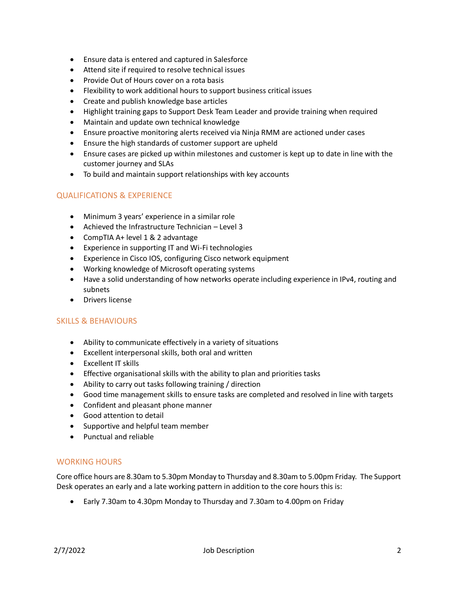- Ensure data is entered and captured in Salesforce
- Attend site if required to resolve technical issues
- Provide Out of Hours cover on a rota basis
- Flexibility to work additional hours to support business critical issues
- Create and publish knowledge base articles
- Highlight training gaps to Support Desk Team Leader and provide training when required
- Maintain and update own technical knowledge
- Ensure proactive monitoring alerts received via Ninja RMM are actioned under cases
- Ensure the high standards of customer support are upheld
- Ensure cases are picked up within milestones and customer is kept up to date in line with the customer journey and SLAs
- To build and maintain support relationships with key accounts

# QUALIFICATIONS & EXPERIENCE

- Minimum 3 years' experience in a similar role
- Achieved the Infrastructure Technician Level 3
- CompTIA A+ level 1 & 2 advantage
- Experience in supporting IT and Wi-Fi technologies
- Experience in Cisco IOS, configuring Cisco network equipment
- Working knowledge of Microsoft operating systems
- Have a solid understanding of how networks operate including experience in IPv4, routing and subnets
- Drivers license

#### SKILLS & BEHAVIOURS

- Ability to communicate effectively in a variety of situations
- Excellent interpersonal skills, both oral and written
- Excellent IT skills
- Effective organisational skills with the ability to plan and priorities tasks
- Ability to carry out tasks following training / direction
- Good time management skills to ensure tasks are completed and resolved in line with targets
- Confident and pleasant phone manner
- Good attention to detail
- Supportive and helpful team member
- Punctual and reliable

# WORKING HOURS

Core office hours are 8.30am to 5.30pm Monday to Thursday and 8.30am to 5.00pm Friday. The Support Desk operates an early and a late working pattern in addition to the core hours this is:

• Early 7.30am to 4.30pm Monday to Thursday and 7.30am to 4.00pm on Friday